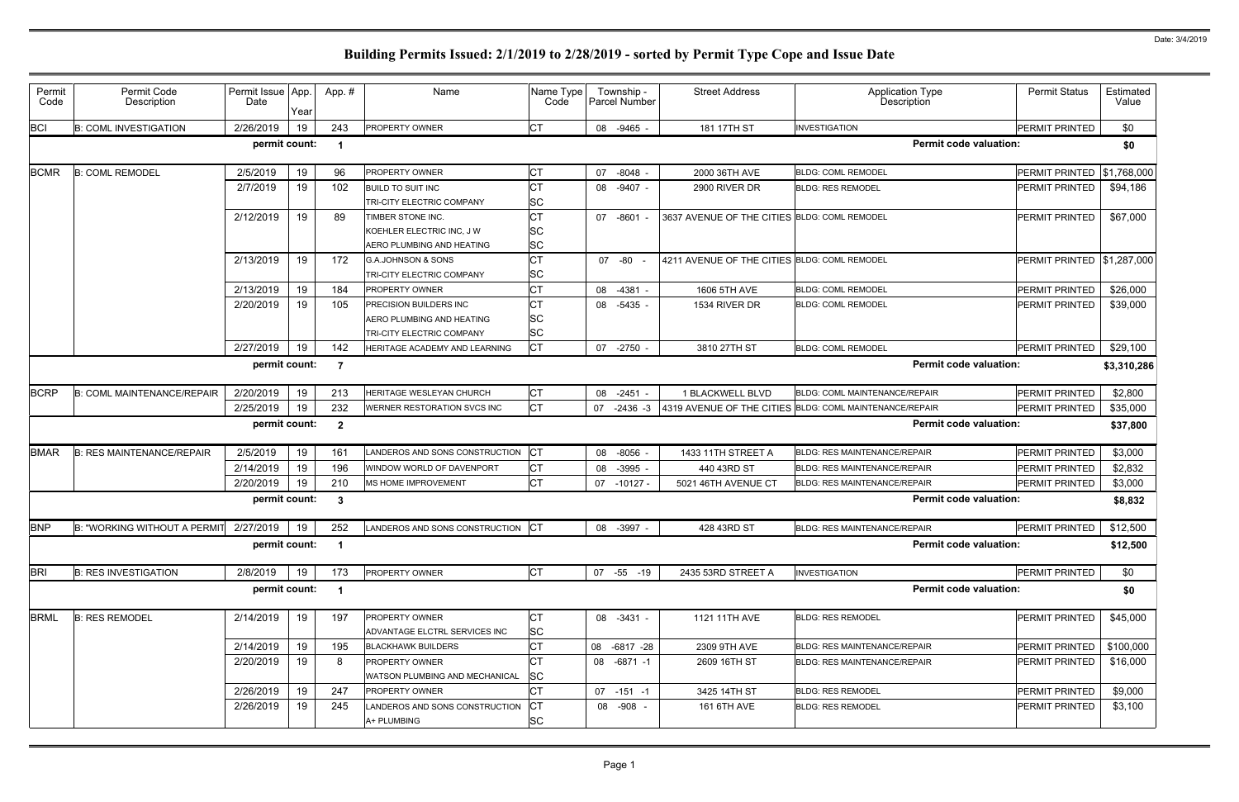| Permit<br>Code | Permit Code<br>Description        | Permit Issue App.<br>Date | Year | App.#                   | Name                                                       | Name Type<br>Code      | Township -<br>Parcel Number | <b>Street Address</b>                        | Application Type<br>Description                         | <b>Permit Status</b> | Estimated<br>Value |
|----------------|-----------------------------------|---------------------------|------|-------------------------|------------------------------------------------------------|------------------------|-----------------------------|----------------------------------------------|---------------------------------------------------------|----------------------|--------------------|
| <b>BCI</b>     | <b>B: COML INVESTIGATION</b>      | 2/26/2019                 | 19   | 243                     | PROPERTY OWNER                                             | <b>CT</b>              | 08 -9465                    | 181 17TH ST                                  | <b>INVESTIGATION</b>                                    | PERMIT PRINTED       | \$0                |
|                |                                   | permit count:             |      | -1                      |                                                            |                        |                             |                                              | <b>Permit code valuation:</b>                           |                      | \$0                |
| <b>BCMR</b>    | <b>B: COML REMODEL</b>            | 2/5/2019                  | 19   | 96                      | PROPERTY OWNER                                             | СT                     | $-8048$<br>07               | 2000 36TH AVE                                | <b>BLDG: COML REMODEL</b>                               | PERMIT PRINTED       | \$1,768,000        |
|                |                                   | 2/7/2019                  | 19   | 102                     | <b>BUILD TO SUIT INC</b>                                   | CТ                     | 08 -9407 -                  | 2900 RIVER DR                                | <b>BLDG: RES REMODEL</b>                                | PERMIT PRINTED       | \$94,186           |
|                |                                   |                           |      |                         | TRI-CITY ELECTRIC COMPANY                                  | <b>SC</b>              |                             |                                              |                                                         |                      |                    |
|                |                                   | 2/12/2019                 | 19   | 89                      | TIMBER STONE INC.                                          | <b>CT</b>              | 07 -8601                    | 3637 AVENUE OF THE CITIES BLDG: COML REMODEL |                                                         | PERMIT PRINTED       | \$67,000           |
|                |                                   |                           |      |                         | KOEHLER ELECTRIC INC, J W                                  | <b>SC</b><br><b>SC</b> |                             |                                              |                                                         |                      |                    |
|                |                                   | 2/13/2019                 | 19   | 172                     | AERO PLUMBING AND HEATING<br><b>G.A.JOHNSON &amp; SONS</b> | <b>CT</b>              | 07 -80                      | 4211 AVENUE OF THE CITIES BLDG: COML REMODEL |                                                         | PERMIT PRINTED       | \$1,287,000        |
|                |                                   |                           |      |                         | TRI-CITY ELECTRIC COMPANY                                  | <b>SC</b>              |                             |                                              |                                                         |                      |                    |
|                |                                   | 2/13/2019                 | 19   | 184                     | <b>PROPERTY OWNER</b>                                      | <b>CT</b>              | 08<br>-4381                 | 1606 5TH AVE                                 | <b>BLDG: COML REMODEL</b>                               | PERMIT PRINTED       | \$26,000           |
|                |                                   | 2/20/2019                 | 19   | 105                     | <b>PRECISION BUILDERS INC</b>                              | <b>CT</b>              | 08 -5435                    | 1534 RIVER DR                                | <b>BLDG: COML REMODEL</b>                               | PERMIT PRINTED       | \$39,000           |
|                |                                   |                           |      |                         | AERO PLUMBING AND HEATING                                  | <b>SC</b>              |                             |                                              |                                                         |                      |                    |
|                |                                   |                           |      |                         | TRI-CITY ELECTRIC COMPANY                                  | <b>SC</b>              |                             |                                              |                                                         |                      |                    |
|                |                                   | 2/27/2019                 | 19   | 142                     | HERITAGE ACADEMY AND LEARNING                              | <b>CT</b>              | 07 -2750                    | 3810 27TH ST                                 | <b>BLDG: COML REMODEL</b>                               | PERMIT PRINTED       | \$29,100           |
|                |                                   | permit count:             |      | -7                      |                                                            |                        |                             |                                              | <b>Permit code valuation:</b>                           |                      | \$3,310,286        |
| <b>BCRP</b>    | <b>B: COML MAINTENANCE/REPAIR</b> | 2/20/2019                 | 19   | 213                     | HERITAGE WESLEYAN CHURCH                                   | СT                     | 08 -2451                    | 1 BLACKWELL BLVD                             | BLDG: COML MAINTENANCE/REPAIR                           | PERMIT PRINTED       | \$2,800            |
|                |                                   | 2/25/2019                 | 19   | 232                     | WERNER RESTORATION SVCS INC                                | <b>CT</b>              | 07<br>$-2436 - 3$           |                                              | 4319 AVENUE OF THE CITIES BLDG: COML MAINTENANCE/REPAIR | PERMIT PRINTED       | \$35,000           |
|                |                                   | permit count:             |      | $\overline{2}$          |                                                            |                        |                             |                                              | <b>Permit code valuation:</b>                           |                      | \$37,800           |
| <b>BMAR</b>    | <b>B: RES MAINTENANCE/REPAIR</b>  | 2/5/2019                  | 19   | 161                     | LANDEROS AND SONS CONSTRUCTION                             | <b>CT</b>              | 08 -8056                    | 1433 11TH STREET A                           | <b>BLDG: RES MAINTENANCE/REPAIR</b>                     | PERMIT PRINTED       | \$3,000            |
|                |                                   | 2/14/2019                 | 19   | 196                     | WINDOW WORLD OF DAVENPORT                                  | <b>CT</b>              | $-3995$<br>08               | 440 43RD ST                                  | <b>BLDG: RES MAINTENANCE/REPAIR</b>                     | PERMIT PRINTED       | \$2,832            |
|                |                                   | 2/20/2019                 | 19   | 210                     | MS HOME IMPROVEMENT                                        | <b>CT</b>              | 07 -10127 -                 | 5021 46TH AVENUE CT                          | BLDG: RES MAINTENANCE/REPAIR                            | PERMIT PRINTED       | \$3,000            |
|                |                                   | permit count:             |      | $\boldsymbol{3}$        |                                                            |                        |                             |                                              | <b>Permit code valuation:</b>                           |                      | \$8,832            |
| <b>BNP</b>     | B: "WORKING WITHOUT A PERMIT      | 2/27/2019                 | 19   | 252                     | LANDEROS AND SONS CONSTRUCTION CT                          |                        | 08 -3997 -                  | 428 43RD ST                                  | <b>BLDG: RES MAINTENANCE/REPAIR</b>                     | PERMIT PRINTED       | \$12,500           |
|                |                                   | permit count:             |      | $\overline{\mathbf{1}}$ |                                                            |                        |                             |                                              | <b>Permit code valuation:</b>                           |                      | \$12,500           |
| <b>BRI</b>     | <b>B: RES INVESTIGATION</b>       | 2/8/2019                  | 19   | 173                     | PROPERTY OWNER                                             | <b>CT</b>              | 07 -55 -19                  | 2435 53RD STREET A                           | <b>INVESTIGATION</b>                                    | PERMIT PRINTED       | \$0                |
|                |                                   | permit count:             |      | $\overline{\mathbf{1}}$ |                                                            |                        |                             |                                              | <b>Permit code valuation:</b>                           |                      | \$0                |
| <b>BRML</b>    | <b>B: RES REMODEL</b>             | 2/14/2019                 | 19   | 197                     | <b>PROPERTY OWNER</b>                                      | СT                     | 08 -3431                    | 1121 11TH AVE                                | <b>BLDG: RES REMODEL</b>                                | PERMIT PRINTED       | \$45,000           |
|                |                                   |                           |      |                         | ADVANTAGE ELCTRL SERVICES INC                              | <b>SC</b>              |                             |                                              |                                                         |                      |                    |
|                |                                   | 2/14/2019                 | 19   | 195                     | <b>BLACKHAWK BUILDERS</b>                                  | СT                     | 08<br>-6817 -28             | 2309 9TH AVE                                 | <b>BLDG: RES MAINTENANCE/REPAIR</b>                     | PERMIT PRINTED       | \$100,000          |
|                |                                   | 2/20/2019                 | 19   | 8                       | PROPERTY OWNER<br>WATSON PLUMBING AND MECHANICAL           | IСТ<br><b>SC</b>       | 08 -6871 -1                 | 2609 16TH ST                                 | <b>BLDG: RES MAINTENANCE/REPAIR</b>                     | PERMIT PRINTED       | \$16,000           |
|                |                                   | 2/26/2019                 | 19   | 247                     | <b>PROPERTY OWNER</b>                                      | СT                     | $07 - 151 - 1$              | 3425 14TH ST                                 | <b>BLDG: RES REMODEL</b>                                | PERMIT PRINTED       | \$9,000            |
|                |                                   | 2/26/2019                 | 19   | 245                     | LANDEROS AND SONS CONSTRUCTION<br>A+ PLUMBING              | IСТ<br><b>SC</b>       | 08 -908 -                   | 161 6TH AVE                                  | <b>BLDG: RES REMODEL</b>                                | PERMIT PRINTED       | \$3,100            |
|                |                                   |                           |      |                         |                                                            |                        |                             |                                              |                                                         |                      |                    |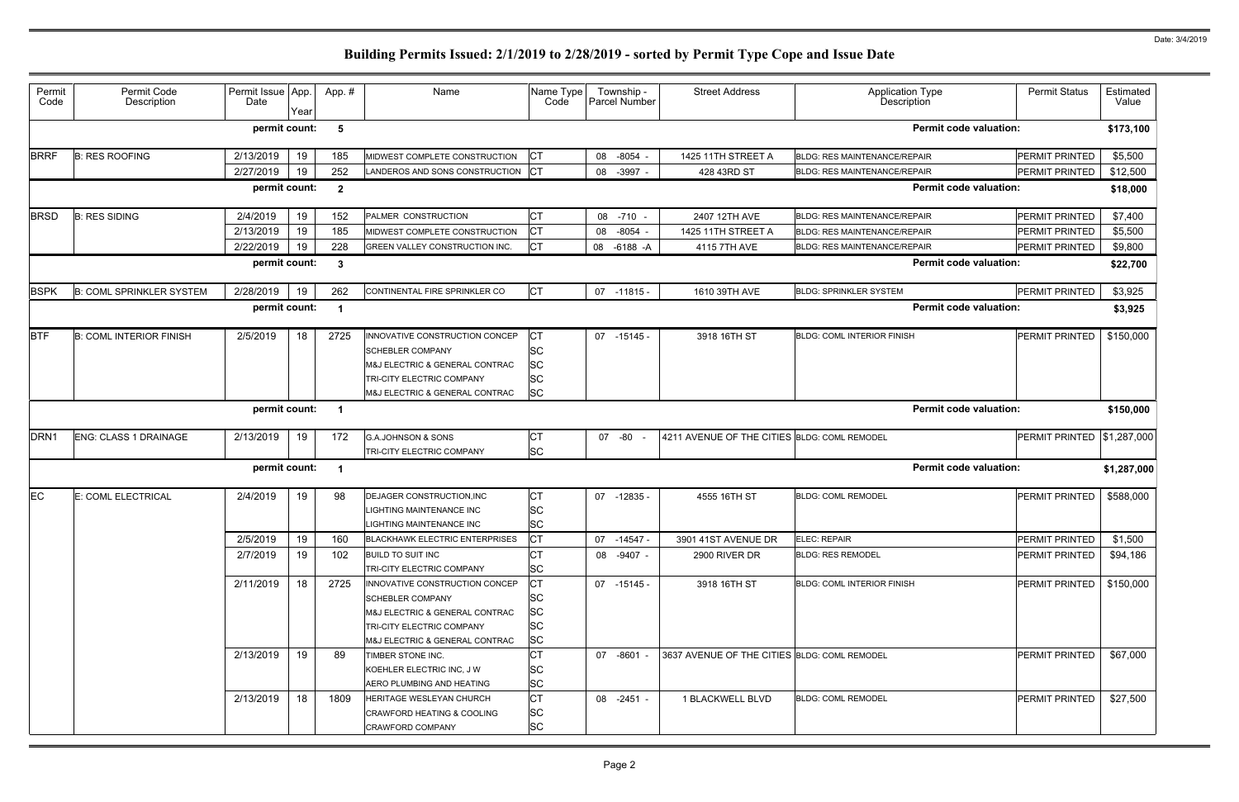| Permit<br>Code                                                            | Permit Code<br>Description      | Permit Issue App.<br>Date | Year | App. #                  | Name                                                                                                                                                       | Name Type<br>Code                                             | Township -<br><b>Parcel Number</b> | <b>Street Address</b>                        | Application Type<br>Description     | <b>Permit Status</b>  | Estimated<br>Value |
|---------------------------------------------------------------------------|---------------------------------|---------------------------|------|-------------------------|------------------------------------------------------------------------------------------------------------------------------------------------------------|---------------------------------------------------------------|------------------------------------|----------------------------------------------|-------------------------------------|-----------------------|--------------------|
|                                                                           |                                 | permit count:             |      | 5                       |                                                                                                                                                            |                                                               |                                    |                                              | <b>Permit code valuation:</b>       |                       | \$173,100          |
| <b>BRRF</b>                                                               | <b>B: RES ROOFING</b>           | 2/13/2019                 | 19   | 185                     | MIDWEST COMPLETE CONSTRUCTION                                                                                                                              | <b>ICT</b>                                                    | 08 -8054 -                         | 1425 11TH STREET A                           | <b>BLDG: RES MAINTENANCE/REPAIR</b> | PERMIT PRINTED        | \$5,500            |
|                                                                           |                                 | 2/27/2019                 | 19   | 252                     | LANDEROS AND SONS CONSTRUCTION CT                                                                                                                          |                                                               | 08 - 3997                          | 428 43RD ST                                  | <b>BLDG: RES MAINTENANCE/REPAIR</b> | PERMIT PRINTED        | \$12,500           |
|                                                                           |                                 | permit count:             |      | $\overline{\mathbf{2}}$ |                                                                                                                                                            |                                                               |                                    |                                              | <b>Permit code valuation:</b>       |                       | \$18,000           |
| <b>BRSD</b>                                                               | <b>B: RES SIDING</b>            | 2/4/2019                  | 19   | 152                     | PALMER CONSTRUCTION                                                                                                                                        | <b>CT</b>                                                     | 08 -710 -                          | 2407 12TH AVE                                | <b>BLDG: RES MAINTENANCE/REPAIR</b> | PERMIT PRINTED        | \$7,400            |
|                                                                           |                                 | 2/13/2019                 | 19   | 185                     | MIDWEST COMPLETE CONSTRUCTION                                                                                                                              | <b>CT</b>                                                     | 08 -8054                           | 1425 11TH STREET A                           | <b>BLDG: RES MAINTENANCE/REPAIR</b> | <b>PERMIT PRINTED</b> | \$5,500            |
|                                                                           |                                 | 2/22/2019                 | 19   | 228                     | GREEN VALLEY CONSTRUCTION INC.                                                                                                                             | <b>CT</b>                                                     | 08 -6188 -A                        | 4115 7TH AVE                                 | <b>BLDG: RES MAINTENANCE/REPAIR</b> | PERMIT PRINTED        | \$9,800            |
|                                                                           |                                 | permit count:             |      | $\mathbf{3}$            |                                                                                                                                                            |                                                               |                                    |                                              | <b>Permit code valuation:</b>       |                       | \$22,700           |
| BSPK                                                                      | <b>B: COML SPRINKLER SYSTEM</b> | 2/28/2019                 | 19   | 262                     | CONTINENTAL FIRE SPRINKLER CO                                                                                                                              | <b>CT</b>                                                     | 07 -11815 -                        | 1610 39TH AVE                                | <b>BLDG: SPRINKLER SYSTEM</b>       | PERMIT PRINTED        | \$3,925            |
|                                                                           |                                 | permit count:             |      | -1                      |                                                                                                                                                            |                                                               |                                    |                                              | <b>Permit code valuation:</b>       |                       | \$3,925            |
| <b>BTF</b>                                                                | <b>B: COML INTERIOR FINISH</b>  | 2/5/2019                  | 18   | 2725                    | INNOVATIVE CONSTRUCTION CONCEP<br><b>SCHEBLER COMPANY</b><br>M&J ELECTRIC & GENERAL CONTRAC<br>TRI-CITY ELECTRIC COMPANY<br>M&J ELECTRIC & GENERAL CONTRAC | <b>CT</b><br><b>SC</b><br><b>SC</b><br><b>SC</b><br><b>SC</b> | 07 -15145 -                        | 3918 16TH ST                                 | <b>BLDG: COML INTERIOR FINISH</b>   | <b>PERMIT PRINTED</b> | \$150,000          |
| <b>Permit code valuation:</b><br>permit count:<br>$\overline{\mathbf{1}}$ |                                 |                           |      |                         |                                                                                                                                                            |                                                               |                                    |                                              |                                     |                       | \$150,000          |
| DRN1                                                                      | ENG: CLASS 1 DRAINAGE           | 2/13/2019                 | 19   | 172                     | <b>G.A.JOHNSON &amp; SONS</b><br>TRI-CITY ELECTRIC COMPANY                                                                                                 | <b>CT</b><br><b>SC</b>                                        | 07 -80                             | 4211 AVENUE OF THE CITIES BLDG: COML REMODEL |                                     | PERMIT PRINTED        | \$1,287,000        |
|                                                                           |                                 | permit count:             |      | -1                      |                                                                                                                                                            |                                                               |                                    |                                              | <b>Permit code valuation:</b>       |                       | \$1,287,000        |
| EС                                                                        | E: COML ELECTRICAL              | 2/4/2019                  | 19   | 98                      | DEJAGER CONSTRUCTION, INC<br>LIGHTING MAINTENANCE INC<br><b>LIGHTING MAINTENANCE INC</b>                                                                   | <b>CT</b><br><b>SC</b><br><b>SC</b>                           | 07 -12835 -                        | 4555 16TH ST                                 | <b>BLDG: COML REMODEL</b>           | <b>PERMIT PRINTED</b> | \$588,000          |
|                                                                           |                                 | 2/5/2019                  | 19   | 160                     | <b>BLACKHAWK ELECTRIC ENTERPRISES</b>                                                                                                                      | ICT                                                           | 07 -14547 -                        | 3901 41ST AVENUE DR                          | <b>ELEC: REPAIR</b>                 | <b>PERMIT PRINTED</b> | \$1,500            |
|                                                                           |                                 | 2/7/2019                  | 19   | 102                     | <b>BUILD TO SUIT INC</b><br>TRI-CITY ELECTRIC COMPANY                                                                                                      | <b>CT</b><br><b>SC</b>                                        | 08 -9407 -                         | 2900 RIVER DR                                | <b>BLDG: RES REMODEL</b>            | <b>PERMIT PRINTED</b> | \$94,186           |
|                                                                           |                                 | 2/11/2019                 | 18   | 2725                    | INNOVATIVE CONSTRUCTION CONCEP<br><b>SCHEBLER COMPANY</b><br>M&J ELECTRIC & GENERAL CONTRAC<br>TRI-CITY ELECTRIC COMPANY<br>M&J ELECTRIC & GENERAL CONTRAC | <b>CT</b><br><b>SC</b><br><b>SC</b><br><b>SC</b><br><b>SC</b> | 07 -15145 -                        | 3918 16TH ST                                 | <b>BLDG: COML INTERIOR FINISH</b>   | <b>PERMIT PRINTED</b> | \$150,000          |
|                                                                           |                                 | 2/13/2019                 | 19   | 89                      | TIMBER STONE INC.<br>KOEHLER ELECTRIC INC, J W<br>AERO PLUMBING AND HEATING                                                                                | <b>CT</b><br><b>SC</b><br><b>SC</b>                           | 07 -8601 -                         | 3637 AVENUE OF THE CITIES BLDG: COML REMODEL |                                     | <b>PERMIT PRINTED</b> | \$67,000           |
|                                                                           |                                 | 2/13/2019                 | 18   | 1809                    | HERITAGE WESLEYAN CHURCH<br><b>CRAWFORD HEATING &amp; COOLING</b><br>CRAWFORD COMPANY                                                                      | <b>CT</b><br><b>SC</b><br><b>SC</b>                           | 08 -2451 -                         | 1 BLACKWELL BLVD                             | <b>BLDG: COML REMODEL</b>           | <b>PERMIT PRINTED</b> | \$27,500           |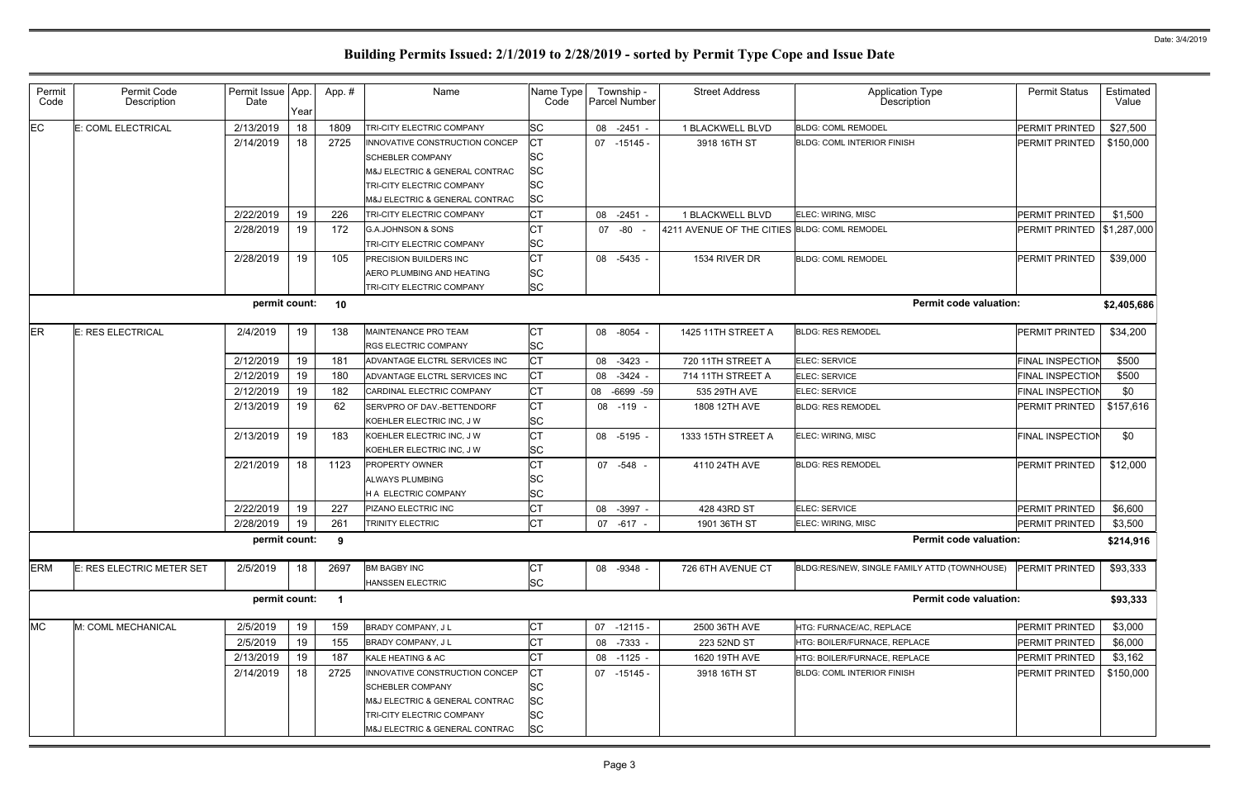| Permit<br>Code                                    | Permit Code<br>Description | Permit Issue App.<br>Date | Year | App.#          | Name                                                                                                                                                       | Name Type<br>Code                                      |  | Township -<br>Parcel Number | <b>Street Address</b>                        | <b>Application Type</b><br>Description       | <b>Permit Status</b>    | Estimated<br>Value |
|---------------------------------------------------|----------------------------|---------------------------|------|----------------|------------------------------------------------------------------------------------------------------------------------------------------------------------|--------------------------------------------------------|--|-----------------------------|----------------------------------------------|----------------------------------------------|-------------------------|--------------------|
| EC                                                | E: COML ELECTRICAL         | 2/13/2019                 | 18   | 1809           | TRI-CITY ELECTRIC COMPANY                                                                                                                                  | <b>SC</b>                                              |  | 08 -2451 -                  | 1 BLACKWELL BLVD                             | <b>BLDG: COML REMODEL</b>                    | PERMIT PRINTED          | \$27,500           |
|                                                   |                            | 2/14/2019                 | 18   | 2725           | INNOVATIVE CONSTRUCTION CONCEP<br><b>SCHEBLER COMPANY</b><br>M&J ELECTRIC & GENERAL CONTRAC<br>TRI-CITY ELECTRIC COMPANY<br>M&J ELECTRIC & GENERAL CONTRAC | СT<br><b>SC</b><br><b>SC</b><br><b>SC</b><br><b>SC</b> |  | 07 -15145 -                 | 3918 16TH ST                                 | BLDG: COML INTERIOR FINISH                   | PERMIT PRINTED          | \$150,000          |
|                                                   |                            | 2/22/2019                 | 19   | 226            | TRI-CITY ELECTRIC COMPANY                                                                                                                                  | <b>CT</b>                                              |  | 08 -2451 -                  | 1 BLACKWELL BLVD                             | ELEC: WIRING, MISC                           | PERMIT PRINTED          | \$1,500            |
|                                                   |                            | 2/28/2019                 | 19   | 172            | <b>G.A.JOHNSON &amp; SONS</b><br>TRI-CITY ELECTRIC COMPANY                                                                                                 | <b>CT</b><br><b>SC</b>                                 |  | 07 -80 -                    | 4211 AVENUE OF THE CITIES BLDG: COML REMODEL |                                              | PERMIT PRINTED          | \$1,287,000        |
|                                                   |                            | 2/28/2019                 | 19   | 105            | PRECISION BUILDERS INC<br>AERO PLUMBING AND HEATING<br>TRI-CITY ELECTRIC COMPANY                                                                           | <b>CT</b><br><b>SC</b><br><b>SC</b>                    |  | 08 -5435 -                  | 1534 RIVER DR                                | <b>BLDG: COML REMODEL</b>                    | <b>PERMIT PRINTED</b>   | \$39,000           |
| <b>Permit code valuation:</b><br>permit count: 10 |                            |                           |      |                |                                                                                                                                                            |                                                        |  |                             |                                              |                                              |                         |                    |
| ER                                                | E: RES ELECTRICAL          | 2/4/2019                  | 19   | 138            | MAINTENANCE PRO TEAM<br>RGS ELECTRIC COMPANY                                                                                                               | <b>CT</b><br><b>SC</b>                                 |  | 08 -8054 -                  | 1425 11TH STREET A                           | <b>BLDG: RES REMODEL</b>                     | PERMIT PRINTED          | \$34,200           |
|                                                   |                            | 2/12/2019                 | 19   | 181            | ADVANTAGE ELCTRL SERVICES INC                                                                                                                              | <b>CT</b>                                              |  | 08 -3423 -                  | 720 11TH STREET A                            | ELEC: SERVICE                                | <b>FINAL INSPECTION</b> | \$500              |
|                                                   |                            | 2/12/2019                 | 19   | 180            | ADVANTAGE ELCTRL SERVICES INC                                                                                                                              | <b>CT</b>                                              |  | 08 - 3424 -                 | 714 11TH STREET A                            | ELEC: SERVICE                                | <b>FINAL INSPECTION</b> | \$500              |
|                                                   |                            | 2/12/2019                 | 19   | 182            | CARDINAL ELECTRIC COMPANY                                                                                                                                  | <b>CT</b>                                              |  | 08 -6699 -59                | 535 29TH AVE                                 | ELEC: SERVICE                                | <b>FINAL INSPECTION</b> | \$0                |
|                                                   |                            | 2/13/2019                 | 19   | 62             | SERVPRO OF DAV.-BETTENDORF<br>KOEHLER ELECTRIC INC, J W                                                                                                    | <b>CT</b><br><b>SC</b>                                 |  | 08 -119 -                   | 1808 12TH AVE                                | <b>BLDG: RES REMODEL</b>                     | PERMIT PRINTED          | \$157,616          |
|                                                   |                            | 2/13/2019                 | 19   | 183            | KOEHLER ELECTRIC INC, J W<br>KOEHLER ELECTRIC INC, J W                                                                                                     | <b>CT</b><br><b>SC</b>                                 |  | 08 -5195 -                  | 1333 15TH STREET A                           | ELEC: WIRING, MISC                           | <b>FINAL INSPECTION</b> | \$0                |
|                                                   |                            | 2/21/2019                 | 18   | 1123           | <b>PROPERTY OWNER</b><br>ALWAYS PLUMBING<br>H A ELECTRIC COMPANY                                                                                           | lст<br><b>SC</b><br><b>SC</b>                          |  | 07 -548 -                   | 4110 24TH AVE                                | <b>BLDG: RES REMODEL</b>                     | <b>PERMIT PRINTED</b>   | \$12,000           |
|                                                   |                            | 2/22/2019                 | 19   | 227            | PIZANO ELECTRIC INC                                                                                                                                        | <b>CT</b>                                              |  | 08 -3997 -                  | 428 43RD ST                                  | ELEC: SERVICE                                | PERMIT PRINTED          | \$6,600            |
|                                                   |                            | 2/28/2019                 | 19   | 261            | TRINITY ELECTRIC                                                                                                                                           | <b>CT</b>                                              |  | 07 -617 -                   | 1901 36TH ST                                 | ELEC: WIRING, MISC                           | <b>PERMIT PRINTED</b>   | \$3,500            |
|                                                   |                            | permit count: 9           |      |                |                                                                                                                                                            |                                                        |  |                             |                                              | <b>Permit code valuation:</b>                |                         | \$214,916          |
| <b>ERM</b>                                        | E: RES ELECTRIC METER SET  | 2/5/2019                  | 18   | 2697           | <b>BM BAGBY INC</b><br>HANSSEN ELECTRIC                                                                                                                    | IСТ<br><b>SC</b>                                       |  | 08 -9348 -                  | 726 6TH AVENUE CT                            | BLDG:RES/NEW, SINGLE FAMILY ATTD (TOWNHOUSE) | PERMIT PRINTED          | \$93,333           |
|                                                   |                            | permit count:             |      | $\blacksquare$ |                                                                                                                                                            |                                                        |  |                             |                                              | <b>Permit code valuation:</b>                |                         | \$93,333           |
| <b>MC</b>                                         | M: COML MECHANICAL         | 2/5/2019                  | 19   | 159            | BRADY COMPANY, J L                                                                                                                                         | <b>CT</b>                                              |  | $07 - 12115 -$              | 2500 36TH AVE                                | HTG: FURNACE/AC, REPLACE                     | PERMIT PRINTED          | \$3,000            |
|                                                   |                            | 2/5/2019                  | 19   | 155            | BRADY COMPANY, J L                                                                                                                                         | СT                                                     |  | 08 -7333 -                  | 223 52ND ST                                  | HTG: BOILER/FURNACE, REPLACE                 | PERMIT PRINTED          | \$6,000            |
|                                                   |                            | 2/13/2019                 | 19   | 187            | KALE HEATING & AC                                                                                                                                          | <b>CT</b>                                              |  | 08 -1125 -                  | 1620 19TH AVE                                | HTG: BOILER/FURNACE, REPLACE                 | PERMIT PRINTED          | \$3,162            |
|                                                   |                            | 2/14/2019                 | 18   | 2725           | INNOVATIVE CONSTRUCTION CONCEP<br><b>SCHEBLER COMPANY</b><br>M&J ELECTRIC & GENERAL CONTRAC<br>TRI-CITY ELECTRIC COMPANY<br>M&J ELECTRIC & GENERAL CONTRAC | СT<br><b>SC</b><br>SC<br><b>SC</b><br><b>SC</b>        |  | 07 -15145 -                 | 3918 16TH ST                                 | <b>BLDG: COML INTERIOR FINISH</b>            | PERMIT PRINTED          | \$150,000          |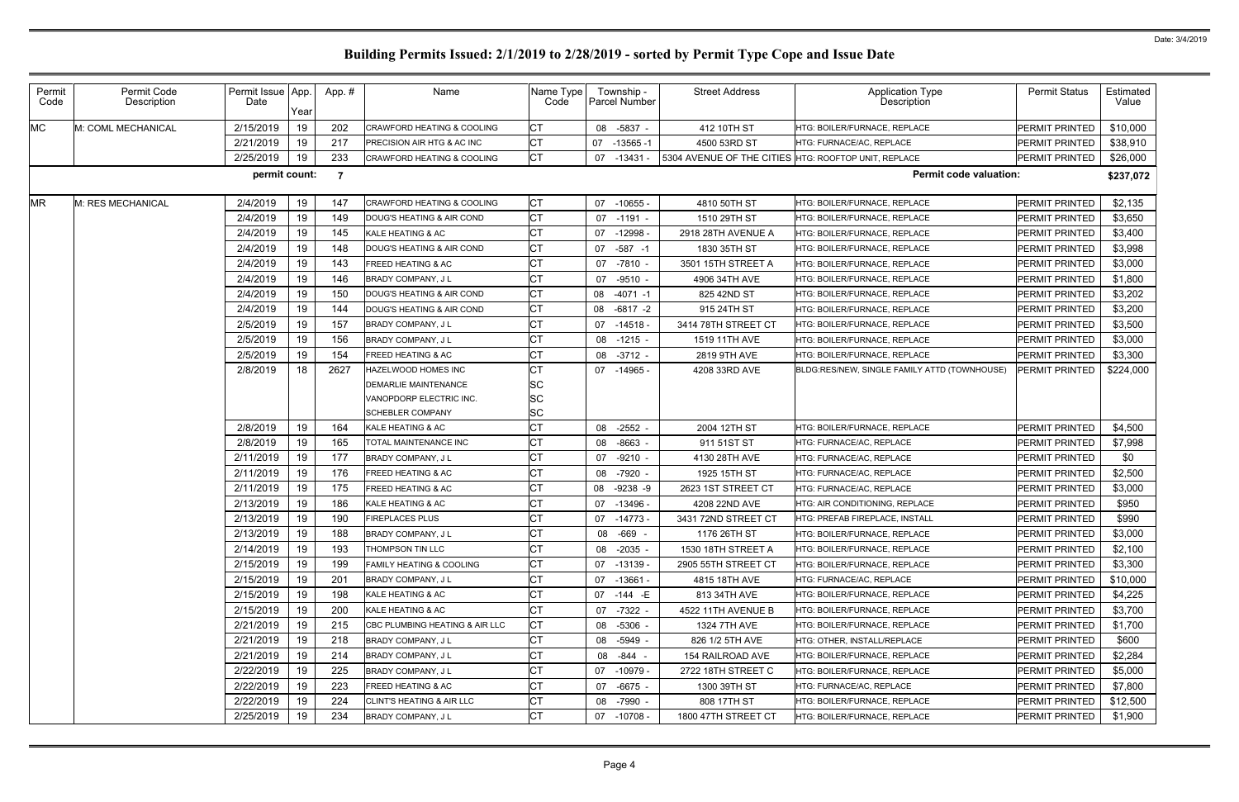| Permit<br>Code | Permit Code<br>Description | Permit Issue App.<br>Date | Year | App.#          | Name                                  | Name Type<br>Code | Township -<br>Parcel Number | <b>Street Address</b>                                | Application Type<br>Description              | <b>Permit Status</b>  | Estimated<br>Value |
|----------------|----------------------------|---------------------------|------|----------------|---------------------------------------|-------------------|-----------------------------|------------------------------------------------------|----------------------------------------------|-----------------------|--------------------|
| <b>MC</b>      | M: COML MECHANICAL         | 2/15/2019                 | 19   | 202            | <b>CRAWFORD HEATING &amp; COOLING</b> | <b>CT</b>         | 08 -5837 -                  | 412 10TH ST                                          | HTG: BOILER/FURNACE, REPLACE                 | PERMIT PRINTED        | \$10,000           |
|                |                            | 2/21/2019                 | 19   | 217            | PRECISION AIR HTG & AC INC            | <b>CT</b>         | 07<br>$-13565 - 1$          | 4500 53RD ST                                         | HTG: FURNACE/AC, REPLACE                     | PERMIT PRINTED        | \$38,910           |
|                |                            | 2/25/2019                 | 19   | 233            | <b>CRAWFORD HEATING &amp; COOLING</b> | <b>CT</b>         | 07<br>-13431 -              | 5304 AVENUE OF THE CITIES HTG: ROOFTOP UNIT, REPLACE |                                              | PERMIT PRINTED        | \$26,000           |
|                |                            | permit count:             |      | $\overline{7}$ |                                       |                   |                             |                                                      | <b>Permit code valuation:</b>                |                       | \$237,072          |
| <b>MR</b>      | M: RES MECHANICAL          | 2/4/2019                  | 19   | 147            | <b>CRAWFORD HEATING &amp; COOLING</b> | <b>CT</b>         | 07 -10655 -                 | 4810 50TH ST                                         | HTG: BOILER/FURNACE, REPLACE                 | <b>PERMIT PRINTED</b> | \$2,135            |
|                |                            | 2/4/2019                  | 19   | 149            | DOUG'S HEATING & AIR COND             | <b>CT</b>         | 07 -1191 -                  | 1510 29TH ST                                         | HTG: BOILER/FURNACE, REPLACE                 | PERMIT PRINTED        | \$3,650            |
|                |                            | 2/4/2019                  | 19   | 145            | KALE HEATING & AC                     | <b>CT</b>         | 07 -12998                   | 2918 28TH AVENUE A                                   | HTG: BOILER/FURNACE, REPLACE                 | PERMIT PRINTED        | \$3,400            |
|                |                            | 2/4/2019                  | 19   | 148            | DOUG'S HEATING & AIR COND             | <b>CT</b>         | $-587 - 1$<br>07            | 1830 35TH ST                                         | HTG: BOILER/FURNACE, REPLACE                 | PERMIT PRINTED        | \$3,998            |
|                |                            | 2/4/2019                  | 19   | 143            | FREED HEATING & AC                    | СT                | 07 -7810 -                  | 3501 15TH STREET A                                   | HTG: BOILER/FURNACE, REPLACE                 | PERMIT PRINTED        | \$3,000            |
|                |                            | 2/4/2019                  | 19   | 146            | <b>BRADY COMPANY, JL</b>              | <b>CT</b>         | 07<br>-9510 -               | 4906 34TH AVE                                        | HTG: BOILER/FURNACE, REPLACE                 | PERMIT PRINTED        | \$1,800            |
|                |                            | 2/4/2019                  | 19   | 150            | DOUG'S HEATING & AIR COND             | <b>CT</b>         | 08<br>-4071 -1              | 825 42ND ST                                          | HTG: BOILER/FURNACE, REPLACE                 | PERMIT PRINTED        | \$3,202            |
|                |                            | 2/4/2019                  | 19   | 144            | DOUG'S HEATING & AIR COND             | <b>CT</b>         | 08<br>$-6817 -2$            | 915 24TH ST                                          | HTG: BOILER/FURNACE. REPLACE                 | PERMIT PRINTED        | \$3,200            |
|                |                            | 2/5/2019                  | 19   | 157            | <b>BRADY COMPANY, JL</b>              | <b>CT</b>         | 07 -14518 -                 | 3414 78TH STREET CT                                  | HTG: BOILER/FURNACE, REPLACE                 | PERMIT PRINTED        | \$3,500            |
|                |                            | 2/5/2019                  | 19   | 156            | <b>BRADY COMPANY, JL</b>              | C <sub>T</sub>    | 08 -1215 -                  | 1519 11TH AVE                                        | HTG: BOILER/FURNACE, REPLACE                 | PERMIT PRINTED        | \$3,000            |
|                |                            | 2/5/2019                  | 19   | 154            | FREED HEATING & AC                    | <b>CT</b>         | 08 -3712 -                  | 2819 9TH AVE                                         | HTG: BOILER/FURNACE, REPLACE                 | PERMIT PRINTED        | \$3,300            |
|                |                            | 2/8/2019                  | 18   | 2627           | HAZELWOOD HOMES INC                   | <b>CT</b>         | 07 -14965 -                 | 4208 33RD AVE                                        | BLDG:RES/NEW, SINGLE FAMILY ATTD (TOWNHOUSE) | PERMIT PRINTED        | \$224,000          |
|                |                            |                           |      |                | DEMARLIE MAINTENANCE                  | SC                |                             |                                                      |                                              |                       |                    |
|                |                            |                           |      |                | VANOPDORP ELECTRIC INC.               | SC                |                             |                                                      |                                              |                       |                    |
|                |                            |                           |      |                | <b>SCHEBLER COMPANY</b>               | <b>SC</b>         |                             |                                                      |                                              |                       |                    |
|                |                            | 2/8/2019                  | 19   | 164            | KALE HEATING & AC                     | СT                | 08 -2552                    | 2004 12TH ST                                         | HTG: BOILER/FURNACE, REPLACE                 | PERMIT PRINTED        | \$4,500            |
|                |                            | 2/8/2019                  | 19   | 165            | TOTAL MAINTENANCE INC                 | <b>CT</b>         | $-8663$<br>08               | 911 51ST ST                                          | HTG: FURNACE/AC, REPLACE                     | PERMIT PRINTED        | \$7,998            |
|                |                            | 2/11/2019                 | 19   | 177            | BRADY COMPANY, J L                    | <b>CT</b>         | 07<br>$-9210 -$             | 4130 28TH AVE                                        | HTG: FURNACE/AC, REPLACE                     | PERMIT PRINTED        | \$0                |
|                |                            | 2/11/2019                 | 19   | 176            | <b>FREED HEATING &amp; AC</b>         | <b>CT</b>         | -7920<br>08                 | 1925 15TH ST                                         | HTG: FURNACE/AC, REPLACE                     | PERMIT PRINTED        | \$2,500            |
|                |                            | 2/11/2019                 | 19   | 175            | FREED HEATING & AC                    | <b>CT</b>         | $-9238 - 9$<br>08           | 2623 1ST STREET CT                                   | HTG: FURNACE/AC, REPLACE                     | PERMIT PRINTED        | \$3,000            |
|                |                            | 2/13/2019                 | 19   | 186            | <b>KALE HEATING &amp; AC</b>          | <b>CT</b>         | 07<br>-13496 -              | 4208 22ND AVE                                        | <b>HTG: AIR CONDITIONING, REPLACE</b>        | PERMIT PRINTED        | \$950              |
|                |                            | 2/13/2019                 | 19   | 190            | <b>FIREPLACES PLUS</b>                | C <sub>T</sub>    | 07 -14773 -                 | 3431 72ND STREET CT                                  | <b>HTG: PREFAB FIREPLACE, INSTALL</b>        | PERMIT PRINTED        | \$990              |
|                |                            | 2/13/2019                 | 19   | 188            | BRADY COMPANY, J L                    | $\sim$<br>י טן    | 08 -669 -                   | 1176 26TH ST                                         | HTG: BOILER/FURNACE, REPLACE                 | PERMIT PRINTED        | \$3,000            |
|                |                            | 2/14/2019                 | 19   | 193            | THOMPSON TIN LLC                      | <b>CT</b>         | 08 -2035 -                  | 1530 18TH STREET A                                   | <b>HTG: BOILER/FURNACE, REPLACE</b>          | PERMIT PRINTED        | \$2,100            |
|                |                            | 2/15/2019                 | 19   | 199            | <b>FAMILY HEATING &amp; COOLING</b>   | <b>CT</b>         | 07 -13139 -                 | 2905 55TH STREET CT                                  | HTG: BOILER/FURNACE, REPLACE                 | PERMIT PRINTED        | \$3,300            |
|                |                            | 2/15/2019                 | 19   | 201            | BRADY COMPANY, J L                    | C <sub>1</sub>    | 07 -13661 -                 | 4815 18TH AVE                                        | <b>HTG: FURNACE/AC. REPLACE</b>              | PERMIT PRINTED        | \$10,000           |
|                |                            | 2/15/2019                 | 19   | 198            | KALE HEATING & AC                     | <b>CT</b>         | 07 -144 -E                  | 813 34TH AVE                                         | <b>HTG: BOILER/FURNACE, REPLACE</b>          | PERMIT PRINTED        | \$4,225            |
|                |                            | 2/15/2019                 | 19   | 200            | KALE HEATING & AC                     | <b>CT</b>         | 07 -7322 -                  | 4522 11TH AVENUE B                                   | HTG: BOILER/FURNACE, REPLACE                 | PERMIT PRINTED        | \$3,700            |
|                |                            | 2/21/2019                 | 19   | 215            | CBC PLUMBING HEATING & AIR LLC        | <b>CT</b>         | 08 -5306 -                  | 1324 7TH AVE                                         | HTG: BOILER/FURNACE, REPLACE                 | PERMIT PRINTED        | \$1,700            |
|                |                            | 2/21/2019                 | 19   | 218            | BRADY COMPANY, J L                    | <b>CT</b>         | 08 -5949 -                  | 826 1/2 5TH AVE                                      | HTG: OTHER, INSTALL/REPLACE                  | PERMIT PRINTED        | \$600              |
|                |                            | 2/21/2019                 | 19   | 214            | BRADY COMPANY, JL                     | <b>CT</b>         | 08 - 844 -                  | 154 RAILROAD AVE                                     | HTG: BOILER/FURNACE, REPLACE                 | PERMIT PRINTED        | \$2,284            |
|                |                            | 2/22/2019                 | 19   | 225            | BRADY COMPANY, J L                    | <b>CT</b>         | 07 -10979 -                 | 2722 18TH STREET C                                   | HTG: BOILER/FURNACE, REPLACE                 | PERMIT PRINTED        | \$5,000            |
|                |                            | 2/22/2019                 | 19   | 223            | FREED HEATING & AC                    | <b>CT</b>         | 07 -6675 -                  | 1300 39TH ST                                         | HTG: FURNACE/AC, REPLACE                     | PERMIT PRINTED        | \$7,800            |
|                |                            | 2/22/2019                 | 19   | 224            | <b>CLINT'S HEATING &amp; AIR LLC</b>  | <b>CT</b>         | 08 -7990 -                  | 808 17TH ST                                          | HTG: BOILER/FURNACE, REPLACE                 | PERMIT PRINTED        | \$12,500           |
|                |                            | 2/25/2019                 | 19   | 234            | <b>BRADY COMPANY, JL</b>              | <b>CT</b>         | 07 -10708 -                 | 1800 47TH STREET CT                                  | HTG: BOILER/FURNACE, REPLACE                 | PERMIT PRINTED        | \$1,900            |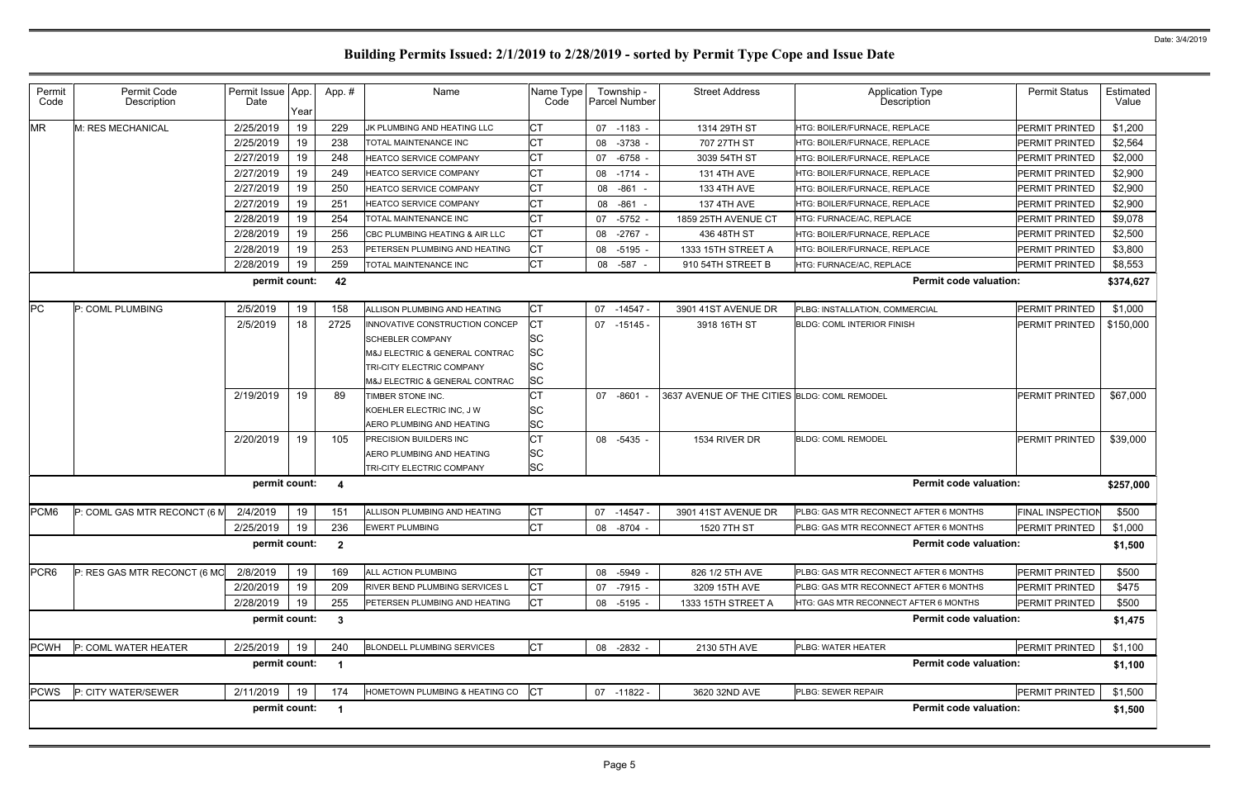| Permit<br>Code   | Permit Code<br>Description   | Permit Issue App.<br>Date | Year | App.#                   | Name                                                                                                                                                       | Name Type<br>Code                        | Township -<br>Parcel Number | <b>Street Address</b>                        | <b>Application Type</b><br><b>Description</b> | <b>Permit Status</b>    | Estimated<br>Value |  |
|------------------|------------------------------|---------------------------|------|-------------------------|------------------------------------------------------------------------------------------------------------------------------------------------------------|------------------------------------------|-----------------------------|----------------------------------------------|-----------------------------------------------|-------------------------|--------------------|--|
| <b>MR</b>        | M: RES MECHANICAL            | 2/25/2019                 | 19   | 229                     | JK PLUMBING AND HEATING LLC                                                                                                                                | СT                                       | 07 -1183 -                  | 1314 29TH ST                                 | HTG: BOILER/FURNACE, REPLACE                  | PERMIT PRINTED          | \$1,200            |  |
|                  |                              | 2/25/2019                 | 19   | 238                     | TOTAL MAINTENANCE INC                                                                                                                                      | СT                                       | 08 -3738                    | 707 27TH ST                                  | HTG: BOILER/FURNACE, REPLACE                  | PERMIT PRINTED          | \$2,564            |  |
|                  |                              | 2/27/2019                 | 19   | 248                     | HEATCO SERVICE COMPANY                                                                                                                                     | СT                                       | 07 -6758                    | 3039 54TH ST                                 | HTG: BOILER/FURNACE, REPLACE                  | PERMIT PRINTED          | \$2,000            |  |
|                  |                              | 2/27/2019                 | 19   | 249                     | HEATCO SERVICE COMPANY                                                                                                                                     | СT                                       | 08 - 1714 -                 | <b>131 4TH AVE</b>                           | HTG: BOILER/FURNACE, REPLACE                  | PERMIT PRINTED          | \$2,900            |  |
|                  |                              | 2/27/2019                 | 19   | 250                     | HEATCO SERVICE COMPANY                                                                                                                                     | СT                                       | 08 -861 -                   | 133 4TH AVE                                  | HTG: BOILER/FURNACE, REPLACE                  | <b>PERMIT PRINTED</b>   | \$2,900            |  |
|                  |                              | 2/27/2019                 | 19   | 251                     | <b>HEATCO SERVICE COMPANY</b>                                                                                                                              | СT                                       | 08 -861 -                   | <b>137 4TH AVE</b>                           | HTG: BOILER/FURNACE, REPLACE                  | PERMIT PRINTED          | \$2,900            |  |
|                  |                              | 2/28/2019                 | 19   | 254                     | TOTAL MAINTENANCE INC                                                                                                                                      | СT                                       | 07 -5752                    | 1859 25TH AVENUE CT                          | HTG: FURNACE/AC, REPLACE                      | PERMIT PRINTED          | \$9,078            |  |
|                  |                              | 2/28/2019                 | 19   | 256                     | CBC PLUMBING HEATING & AIR LLC                                                                                                                             | <b>CT</b>                                | 08 -2767 -                  | 436 48TH ST                                  | HTG: BOILER/FURNACE, REPLACE                  | PERMIT PRINTED          | \$2,500            |  |
|                  |                              | 2/28/2019                 | 19   | 253                     | PETERSEN PLUMBING AND HEATING                                                                                                                              | СT                                       | 08 -5195                    | 1333 15TH STREET A                           | HTG: BOILER/FURNACE, REPLACE                  | PERMIT PRINTED          | \$3,800            |  |
|                  |                              | 2/28/2019                 | 19   | 259                     | TOTAL MAINTENANCE INC                                                                                                                                      | <b>CT</b>                                | 08 -587 -                   | 910 54TH STREET B                            | HTG: FURNACE/AC, REPLACE                      | PERMIT PRINTED          | \$8,553            |  |
|                  |                              | permit count:             |      | 42                      |                                                                                                                                                            |                                          |                             |                                              | <b>Permit code valuation:</b>                 |                         | \$374,627          |  |
| <b>PC</b>        | P: COML PLUMBING             | 2/5/2019                  | 19   | 158                     | ALLISON PLUMBING AND HEATING                                                                                                                               | CT                                       | 07 -14547 -                 | 3901 41ST AVENUE DR                          | PLBG: INSTALLATION, COMMERCIAL                | <b>PERMIT PRINTED</b>   | \$1,000            |  |
|                  |                              | 2/5/2019                  | 18   | 2725                    | INNOVATIVE CONSTRUCTION CONCEP<br><b>SCHEBLER COMPANY</b><br>M&J ELECTRIC & GENERAL CONTRAC<br>TRI-CITY ELECTRIC COMPANY<br>M&J ELECTRIC & GENERAL CONTRAC | СT<br><b>SC</b><br>SC<br>SC<br><b>SC</b> | 07 -15145 -                 | 3918 16TH ST                                 | <b>BLDG: COML INTERIOR FINISH</b>             | PERMIT PRINTED          | \$150,000          |  |
|                  |                              | 2/19/2019                 | 19   | 89                      | TIMBER STONE INC.                                                                                                                                          |                                          | 07 -8601                    | 3637 AVENUE OF THE CITIES BLDG: COML REMODEL |                                               | PERMIT PRINTED          | \$67,000           |  |
|                  |                              |                           |      |                         | KOEHLER ELECTRIC INC, J W                                                                                                                                  | <b>SC</b>                                |                             |                                              |                                               |                         |                    |  |
|                  |                              |                           |      |                         | AERO PLUMBING AND HEATING                                                                                                                                  | <b>SC</b>                                |                             |                                              |                                               |                         |                    |  |
|                  |                              | 2/20/2019                 | 19   | 105                     | <b>PRECISION BUILDERS INC</b><br>AERO PLUMBING AND HEATING<br>TRI-CITY ELECTRIC COMPANY                                                                    | СT<br><b>SC</b><br><b>SC</b>             | 08 -5435 -                  | 1534 RIVER DR                                | <b>BLDG: COML REMODEL</b>                     | PERMIT PRINTED          | \$39,000           |  |
|                  |                              | permit count:             |      | -4                      |                                                                                                                                                            |                                          |                             |                                              | <b>Permit code valuation:</b>                 |                         | \$257,000          |  |
| PCM <sub>6</sub> | P: COML GAS MTR RECONCT (6 M | 2/4/2019                  | 19   | 151                     | ALLISON PLUMBING AND HEATING                                                                                                                               | СT                                       | 07 -14547 -                 | 3901 41ST AVENUE DR                          | PLBG: GAS MTR RECONNECT AFTER 6 MONTHS        | <b>FINAL INSPECTION</b> | \$500              |  |
|                  |                              | 2/25/2019                 | 19   | 236                     | <b>EWERT PLUMBING</b>                                                                                                                                      | <b>CT</b>                                | 08 -8704                    | 1520 7TH ST                                  | PLBG: GAS MTR RECONNECT AFTER 6 MONTHS        | <b>PERMIT PRINTED</b>   | \$1,000            |  |
|                  |                              | permit count:             |      | $\overline{\mathbf{2}}$ |                                                                                                                                                            |                                          |                             |                                              | <b>Permit code valuation:</b>                 |                         | \$1,500            |  |
| PCR <sub>6</sub> | P: RES GAS MTR RECONCT (6 MC | 2/8/2019                  | 19   | 169                     | ALL ACTION PLUMBING                                                                                                                                        | CT                                       | 08 -5949 -                  | 826 1/2 5TH AVE                              | PLBG: GAS MTR RECONNECT AFTER 6 MONTHS        | <b>PERMIT PRINTED</b>   | \$500              |  |
|                  |                              | 2/20/2019                 | 19   | 209                     | RIVER BEND PLUMBING SERVICES L                                                                                                                             | <b>CT</b>                                | 07 -7915 -                  | 3209 15TH AVE                                | PLBG: GAS MTR RECONNECT AFTER 6 MONTHS        | PERMIT PRINTED          | \$475              |  |
|                  |                              | 2/28/2019                 | 19   | 255                     | PETERSEN PLUMBING AND HEATING                                                                                                                              | <b>CT</b>                                | 08 -5195 -                  | 1333 15TH STREET A                           | HTG: GAS MTR RECONNECT AFTER 6 MONTHS         | PERMIT PRINTED          | \$500              |  |
|                  |                              | permit count:             |      | $\boldsymbol{3}$        |                                                                                                                                                            |                                          |                             |                                              | <b>Permit code valuation:</b>                 |                         | \$1,475            |  |
| <b>PCWH</b>      | P: COML WATER HEATER         | 2/25/2019                 | 19   | 240                     | <b>BLONDELL PLUMBING SERVICES</b>                                                                                                                          | <b>CT</b>                                | 08 -2832 -                  | 2130 5TH AVE                                 | PLBG: WATER HEATER                            | <b>PERMIT PRINTED</b>   | \$1,100            |  |
|                  |                              | permit count:             |      | $\overline{\mathbf{1}}$ |                                                                                                                                                            |                                          |                             |                                              | <b>Permit code valuation:</b><br>\$1,100      |                         |                    |  |
| <b>PCWS</b>      | P: CITY WATER/SEWER          | 2/11/2019                 | 19   | 174                     | HOMETOWN PLUMBING & HEATING CO                                                                                                                             | Iст                                      | 07 -11822 -                 | 3620 32ND AVE                                | PLBG: SEWER REPAIR                            | PERMIT PRINTED          | \$1,500            |  |
|                  |                              | permit count:             |      | $\overline{\mathbf{1}}$ |                                                                                                                                                            |                                          |                             |                                              | <b>Permit code valuation:</b>                 |                         | \$1,500            |  |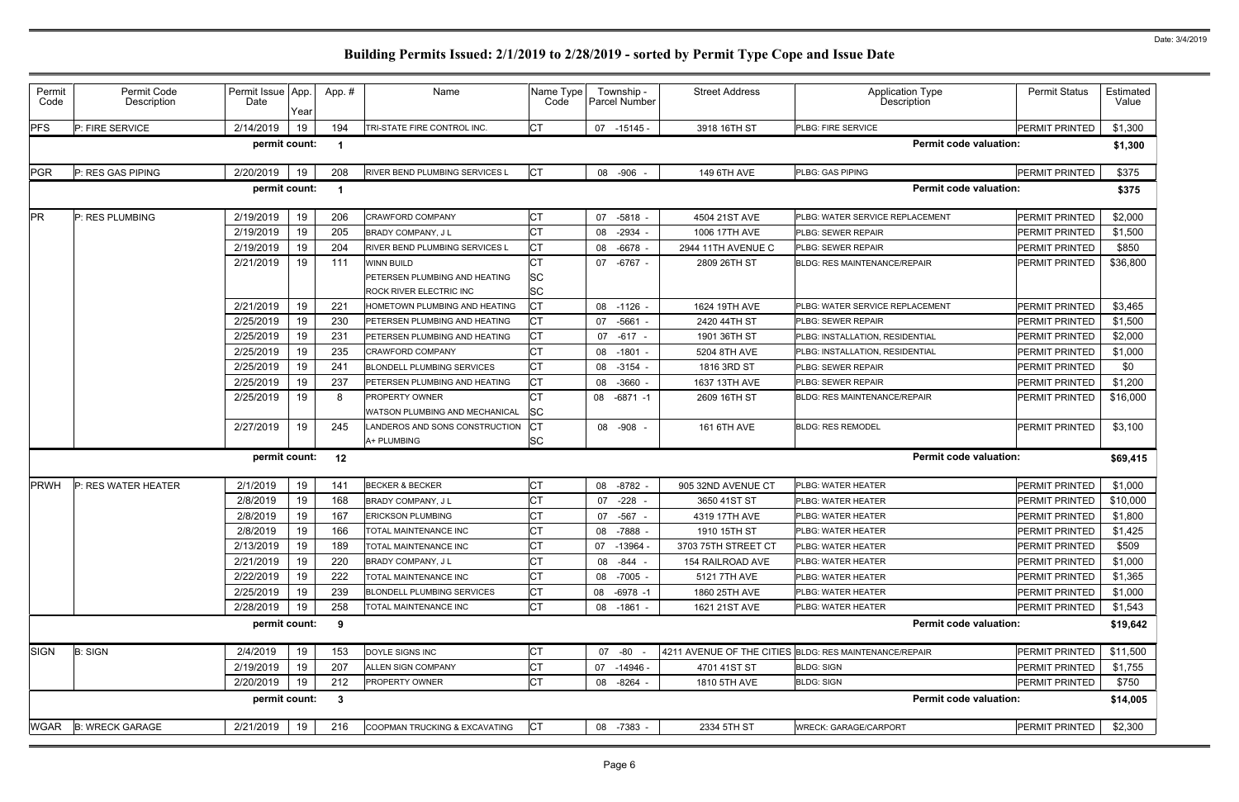| Permit<br>Code                                                  | Permit Code<br>Description | Permit Issue App.<br>Date | Year | App.#                   | Name                                                                          | Name Type<br>Code                   | Township -<br>Parcel Number | <b>Street Address</b> | <b>Application Type</b><br>Description                 | <b>Permit Status</b>  | Estimated<br>Value |  |
|-----------------------------------------------------------------|----------------------------|---------------------------|------|-------------------------|-------------------------------------------------------------------------------|-------------------------------------|-----------------------------|-----------------------|--------------------------------------------------------|-----------------------|--------------------|--|
| <b>PFS</b>                                                      | P: FIRE SERVICE            | 2/14/2019                 | 19   | 194                     | TRI-STATE FIRE CONTROL INC.                                                   | Iст                                 | $07 - 15145 -$              | 3918 16TH ST          | PLBG: FIRE SERVICE                                     | PERMIT PRINTED        | \$1,300            |  |
| permit count:<br><b>Permit code valuation:</b><br>\$1,300<br>-1 |                            |                           |      |                         |                                                                               |                                     |                             |                       |                                                        |                       |                    |  |
| PGR                                                             | P: RES GAS PIPING          | 2/20/2019                 | 19   | 208                     | RIVER BEND PLUMBING SERVICES L                                                | <b>CT</b>                           | 08 -906 -                   | 149 6TH AVE           | PLBG: GAS PIPING                                       | PERMIT PRINTED        | \$375              |  |
|                                                                 |                            | permit count:             |      | $\overline{\mathbf{1}}$ |                                                                               |                                     |                             |                       | <b>Permit code valuation:</b>                          |                       | \$375              |  |
| <b>PR</b>                                                       | P: RES PLUMBING            | 2/19/2019                 | 19   | 206                     | CRAWFORD COMPANY                                                              | <b>CT</b>                           | 07 -5818 -                  | 4504 21ST AVE         | PLBG: WATER SERVICE REPLACEMENT                        | PERMIT PRINTED        | \$2,000            |  |
|                                                                 |                            | 2/19/2019                 | 19   | 205                     | <b>BRADY COMPANY, JL</b>                                                      | <b>CT</b>                           | 08 -2934                    | 1006 17TH AVE         | PLBG: SEWER REPAIR                                     | PERMIT PRINTED        | \$1,500            |  |
|                                                                 |                            | 2/19/2019                 | 19   | 204                     | RIVER BEND PLUMBING SERVICES L                                                | <b>CT</b>                           | 08 -6678                    | 2944 11TH AVENUE C    | PLBG: SEWER REPAIR                                     | PERMIT PRINTED        | \$850              |  |
|                                                                 |                            | 2/21/2019                 | 19   | 111                     | <b>WINN BUILD</b><br>PETERSEN PLUMBING AND HEATING<br>ROCK RIVER ELECTRIC INC | <b>CT</b><br><b>SC</b><br><b>SC</b> | 07 -6767 -                  | 2809 26TH ST          | <b>BLDG: RES MAINTENANCE/REPAIR</b>                    | PERMIT PRINTED        | \$36,800           |  |
|                                                                 |                            | 2/21/2019                 | 19   | 221                     | HOMETOWN PLUMBING AND HEATING                                                 | СT                                  | 08 -1126 -                  | 1624 19TH AVE         | PLBG: WATER SERVICE REPLACEMENT                        | PERMIT PRINTED        | \$3,465            |  |
|                                                                 |                            | 2/25/2019                 | 19   | 230                     | PETERSEN PLUMBING AND HEATING                                                 | <b>CT</b>                           | -5661<br>07                 | 2420 44TH ST          | PLBG: SEWER REPAIR                                     | PERMIT PRINTED        | \$1,500            |  |
|                                                                 |                            | 2/25/2019                 | 19   | 231                     | PETERSEN PLUMBING AND HEATING                                                 | <b>CT</b>                           | 07 -617 -                   | 1901 36TH ST          | PLBG: INSTALLATION, RESIDENTIAL                        | PERMIT PRINTED        | \$2,000            |  |
|                                                                 |                            | 2/25/2019                 | 19   | 235                     | <b>CRAWFORD COMPANY</b>                                                       | <b>CT</b>                           | 08 -1801                    | 5204 8TH AVE          | PLBG: INSTALLATION, RESIDENTIAL                        | <b>PERMIT PRINTED</b> | \$1,000            |  |
|                                                                 |                            | 2/25/2019                 | 19   | 241                     | <b>BLONDELL PLUMBING SERVICES</b>                                             | СT                                  | 08 -3154                    | 1816 3RD ST           | PLBG: SEWER REPAIR                                     | PERMIT PRINTED        | \$0                |  |
|                                                                 |                            | 2/25/2019                 | 19   | 237                     | PETERSEN PLUMBING AND HEATING                                                 | <b>CT</b>                           | $-3660$<br>08               | 1637 13TH AVE         | PLBG: SEWER REPAIR                                     | PERMIT PRINTED        | \$1,200            |  |
|                                                                 |                            | 2/25/2019                 | 19   | 8                       | PROPERTY OWNER<br>WATSON PLUMBING AND MECHANICAL                              | CT<br>SC                            | 08<br>-6871 -1              | 2609 16TH ST          | <b>BLDG: RES MAINTENANCE/REPAIR</b>                    | PERMIT PRINTED        | \$16,000           |  |
|                                                                 |                            | 2/27/2019                 | 19   | 245                     | LANDEROS AND SONS CONSTRUCTION<br>A+ PLUMBING                                 | IСT<br><b>SC</b>                    | 08 -908 -                   | 161 6TH AVE           | <b>BLDG: RES REMODEL</b>                               | PERMIT PRINTED        | \$3,100            |  |
|                                                                 |                            | permit count:             |      | 12                      |                                                                               |                                     |                             |                       | <b>Permit code valuation:</b>                          |                       | \$69,415           |  |
| <b>PRWH</b>                                                     | P: RES WATER HEATER        | 2/1/2019                  | 19   | 141                     | <b>BECKER &amp; BECKER</b>                                                    | <b>CT</b>                           | 08 -8782                    | 905 32ND AVENUE CT    | PLBG: WATER HEATER                                     | PERMIT PRINTED        | \$1,000            |  |
|                                                                 |                            | 2/8/2019                  | 19   | 168                     | BRADY COMPANY, J L                                                            | <b>CT</b>                           | $-228$<br>07                | 3650 41ST ST          | PLBG: WATER HEATER                                     | PERMIT PRINTED        | \$10,000           |  |
|                                                                 |                            | 2/8/2019                  | 19   | 167                     | <b>ERICKSON PLUMBING</b>                                                      | <b>CT</b>                           | $-567$<br>07                | 4319 17TH AVE         | PLBG: WATER HEATER                                     | PERMIT PRINTED        | \$1,800            |  |
|                                                                 |                            | 2/8/2019                  | 19   | 166                     | TOTAL MAINTENANCE INC                                                         | <b>CT</b>                           | 08 -7888                    | 1910 15TH ST          | PLBG: WATER HEATER                                     | PERMIT PRINTED        | \$1,425            |  |
|                                                                 |                            | 2/13/2019                 | 19   | 189                     | TOTAL MAINTENANCE INC                                                         | <b>CT</b>                           | 07 -13964                   | 3703 75TH STREET CT   | PLBG: WATER HEATER                                     | PERMIT PRINTED        | \$509              |  |
|                                                                 |                            | 2/21/2019                 | 19   | 220                     | BRADY COMPANY, J L                                                            | СT                                  | 08 - 844 -                  | 154 RAILROAD AVE      | PLBG: WATER HEATER                                     | PERMIT PRINTED        | \$1,000            |  |
|                                                                 |                            | 2/22/2019                 | 19   | 222                     | TOTAL MAINTENANCE INC                                                         | <b>CT</b>                           | 08 -7005 -                  | 5121 7TH AVE          | PLBG: WATER HEATER                                     | PERMIT PRINTED        | \$1,365            |  |
|                                                                 |                            | 2/25/2019                 | 19   | 239                     | BLONDELL PLUMBING SERVICES                                                    | <b>CT</b>                           | -6978 -1<br>08              | 1860 25TH AVE         | PLBG: WATER HEATER                                     | PERMIT PRINTED        | \$1,000            |  |
|                                                                 |                            | 2/28/2019                 | 19   | 258                     | TOTAL MAINTENANCE INC                                                         | <b>CT</b>                           | 08 -1861 -                  | 1621 21ST AVE         | PLBG: WATER HEATER                                     | PERMIT PRINTED        | \$1,543            |  |
|                                                                 |                            | permit count:             |      | 9                       |                                                                               |                                     |                             |                       | <b>Permit code valuation:</b>                          |                       | \$19,642           |  |
| <b>SIGN</b>                                                     | <b>B: SIGN</b>             | 2/4/2019                  | 19   | 153                     | DOYLE SIGNS INC                                                               | <b>CT</b>                           | 07 -80 -                    |                       | 4211 AVENUE OF THE CITIES BLDG: RES MAINTENANCE/REPAIR | PERMIT PRINTED        | \$11,500           |  |
|                                                                 |                            | 2/19/2019                 | 19   | 207                     | ALLEN SIGN COMPANY                                                            | <b>CT</b>                           | 07 -14946 -                 | 4701 41ST ST          | <b>BLDG: SIGN</b>                                      | PERMIT PRINTED        | \$1,755            |  |
|                                                                 |                            | 2/20/2019                 | 19   | 212                     | PROPERTY OWNER                                                                | <b>CT</b>                           | 08 -8264 -                  | 1810 5TH AVE          | <b>BLDG: SIGN</b>                                      | PERMIT PRINTED        | \$750              |  |
|                                                                 |                            | permit count:             |      | $\overline{\mathbf{3}}$ |                                                                               |                                     |                             |                       | <b>Permit code valuation:</b>                          |                       | \$14,005           |  |
| <b>WGAR</b>                                                     | <b>B: WRECK GARAGE</b>     | 2/21/2019                 | 19   | 216                     | COOPMAN TRUCKING & EXCAVATING                                                 | <b>CT</b>                           | 08 -7383 -                  | 2334 5TH ST           | <b>WRECK: GARAGE/CARPORT</b>                           | PERMIT PRINTED        | \$2,300            |  |